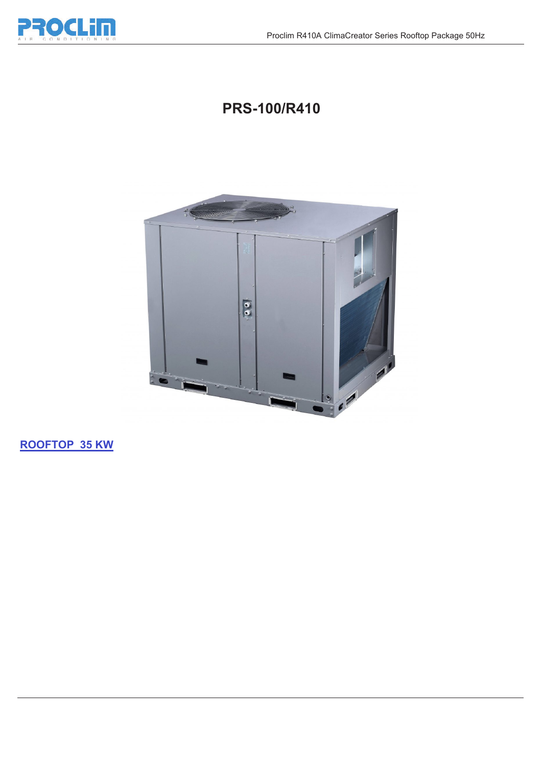

## **PRS-100/R410**



**ROOFTOP 35 KW**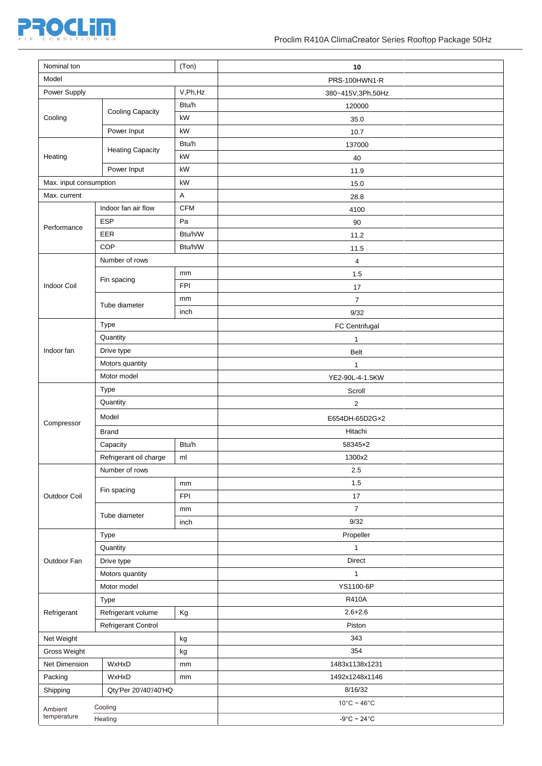

| Nominal ton            |                               | (Ton)                     | 10                               |
|------------------------|-------------------------------|---------------------------|----------------------------------|
| Model                  |                               |                           | PRS-100HWN1-R                    |
| Power Supply           |                               | V,Ph,Hz                   | 380~415V,3Ph,50Hz                |
|                        |                               | Btu/h                     | 120000                           |
| Cooling                | <b>Cooling Capacity</b>       | kW                        | 35.0                             |
|                        | Power Input                   | kW                        | 10.7                             |
| Heating                | <b>Heating Capacity</b>       | Btu/h                     | 137000                           |
|                        |                               | kW                        | 40                               |
|                        | Power Input                   | kW                        | 11.9                             |
| Max. input consumption |                               | kW                        | 15.0                             |
| Max. current           |                               | $\boldsymbol{\mathsf{A}}$ | 28.8                             |
| Performance            | Indoor fan air flow           | <b>CFM</b>                | 4100                             |
|                        | <b>ESP</b>                    | Pa                        | 90                               |
|                        | EER                           | Btu/h/W                   | 11.2                             |
|                        | COP                           | Btu/h/W                   | 11.5                             |
|                        | Number of rows                |                           | $\overline{\mathbf{4}}$          |
|                        | Fin spacing                   | mm                        | 1.5                              |
| Indoor Coil            |                               | FPI                       | 17                               |
|                        | Tube diameter                 | mm                        | $\overline{7}$                   |
|                        |                               | inch                      | 9/32                             |
| Indoor fan             | Type                          |                           | FC Centrifugal                   |
|                        | Quantity                      |                           | $\mathbf 1$                      |
|                        | Drive type                    |                           | <b>Belt</b>                      |
|                        | Motors quantity               |                           | $\mathbf{1}$                     |
|                        | Motor model                   |                           | YE2-90L-4-1.5KW                  |
| Compressor             | Type                          |                           | Scroll                           |
|                        | Quantity                      |                           | $\overline{2}$                   |
|                        | Model                         |                           | E654DH-65D2Gx2                   |
|                        | <b>Brand</b>                  |                           | Hitachi                          |
|                        | Capacity                      | Btu/h                     | 58345×2                          |
|                        | Refrigerant oil charge        | ml                        | 1300x2                           |
| Outdoor Coil           | Number of rows<br>Fin spacing |                           | 2.5                              |
|                        |                               | mm                        | 1.5                              |
|                        |                               | <b>FPI</b>                | 17                               |
|                        | Tube diameter                 | mm                        | $\boldsymbol{7}$                 |
|                        |                               | inch                      | 9/32                             |
| Outdoor Fan            | Type                          |                           | Propeller                        |
|                        | Quantity                      |                           | $\mathbf{1}$<br><b>Direct</b>    |
|                        | Drive type                    |                           |                                  |
|                        | Motors quantity               |                           | $\mathbf{1}$<br>YS1100-6P        |
|                        | Motor model                   |                           | <b>R410A</b>                     |
| Refrigerant            | Type<br>Refrigerant volume    | Kg                        | $2.6 + 2.6$                      |
|                        | Refrigerant Control           |                           | Piston                           |
| Net Weight             |                               | kg                        | 343                              |
| Gross Weight           |                               | kg                        | 354                              |
| Net Dimension          | WxHxD                         | mm                        | 1483x1138x1231                   |
| Packing                | WxHxD                         | mm                        | 1492x1248x1146                   |
| Shipping               | Qty'Per 20'/40'/40'HQ         |                           | 8/16/32                          |
|                        |                               |                           | $10^{\circ}$ C ~ 46 $^{\circ}$ C |
| Ambient<br>temperature | Cooling                       |                           |                                  |
|                        | Heating                       |                           | $-9^{\circ}$ C ~ 24 $^{\circ}$ C |